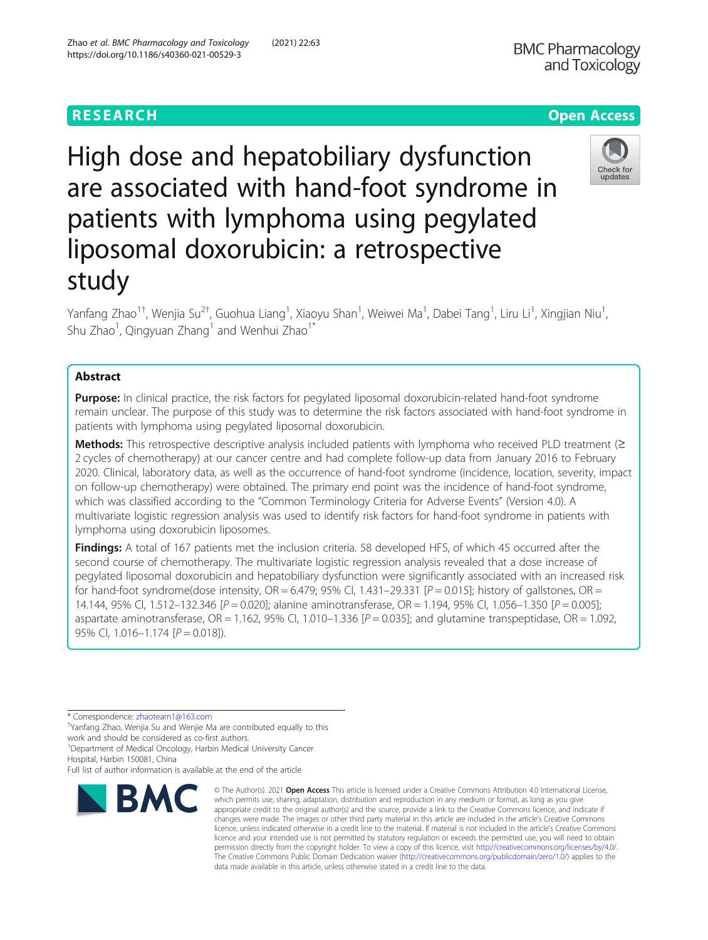High dose and hepatobiliary dysfunction are associated with hand-foot syndrome in patients with lymphoma using pegylated liposomal doxorubicin: a retrospective study

Yanfang Zhao<sup>1†</sup>, Wenjia Su<sup>2†</sup>, Guohua Liang<sup>1</sup>, Xiaoyu Shan<sup>1</sup>, Weiwei Ma<sup>1</sup>, Dabei Tang<sup>1</sup>, Liru Li<sup>1</sup>, Xingjian Niu<sup>1</sup> , Shu Zhao<sup>1</sup>, Qingyuan Zhang<sup>1</sup> and Wenhui Zhao<sup>1\*</sup>

# Abstract

**Purpose:** In clinical practice, the risk factors for pegylated liposomal doxorubicin-related hand-foot syndrome remain unclear. The purpose of this study was to determine the risk factors associated with hand-foot syndrome in patients with lymphoma using pegylated liposomal doxorubicin.

Methods: This retrospective descriptive analysis included patients with lymphoma who received PLD treatment (≥ 2 cycles of chemotherapy) at our cancer centre and had complete follow-up data from January 2016 to February 2020. Clinical, laboratory data, as well as the occurrence of hand-foot syndrome (incidence, location, severity, impact on follow-up chemotherapy) were obtained. The primary end point was the incidence of hand-foot syndrome, which was classified according to the "Common Terminology Criteria for Adverse Events" (Version 4.0). A multivariate logistic regression analysis was used to identify risk factors for hand-foot syndrome in patients with lymphoma using doxorubicin liposomes.

Findings: A total of 167 patients met the inclusion criteria. 58 developed HFS, of which 45 occurred after the second course of chemotherapy. The multivariate logistic regression analysis revealed that a dose increase of pegylated liposomal doxorubicin and hepatobiliary dysfunction were significantly associated with an increased risk for hand-foot syndrome(dose intensity,  $OR = 6.479$ ; 95% CI, 1.431–29.331 [ $P = 0.015$ ]; history of gallstones,  $OR =$ 14.144, 95% CI, 1.512–132.346 [P = 0.020]; alanine aminotransferase, OR = 1.194, 95% CI, 1.056–1.350 [P = 0.005]; aspartate aminotransferase,  $OR = 1.162$ , 95% Cl, 1.010-1.336  $[P = 0.035]$ ; and glutamine transpeptidase,  $OR = 1.092$ , 95% CI,  $1.016 - 1.174$   $[P = 0.018]$ ).

\* Correspondence: [zhaoteam1@163.com](mailto:zhaoteam1@163.com) †

Yanfang Zhao, Wenjia Su and Wenjie Ma are contributed equally to this work and should be considered as co-first authors.

<sup>1</sup>Department of Medical Oncology, Harbin Medical University Cancer

Hospital, Harbin 150081, China

Full list of author information is available at the end of the article

### Zhao et al. BMC Pharmacology and Toxicology (2021) 22:63 https://doi.org/10.1186/s40360-021-00529-3

**RMC** 





<sup>©</sup> The Author(s), 2021 **Open Access** This article is licensed under a Creative Commons Attribution 4.0 International License, which permits use, sharing, adaptation, distribution and reproduction in any medium or format, as long as you give appropriate credit to the original author(s) and the source, provide a link to the Creative Commons licence, and indicate if changes were made. The images or other third party material in this article are included in the article's Creative Commons licence, unless indicated otherwise in a credit line to the material. If material is not included in the article's Creative Commons licence and your intended use is not permitted by statutory regulation or exceeds the permitted use, you will need to obtain permission directly from the copyright holder. To view a copy of this licence, visit [http://creativecommons.org/licenses/by/4.0/.](http://creativecommons.org/licenses/by/4.0/) The Creative Commons Public Domain Dedication waiver [\(http://creativecommons.org/publicdomain/zero/1.0/](http://creativecommons.org/publicdomain/zero/1.0/)) applies to the data made available in this article, unless otherwise stated in a credit line to the data.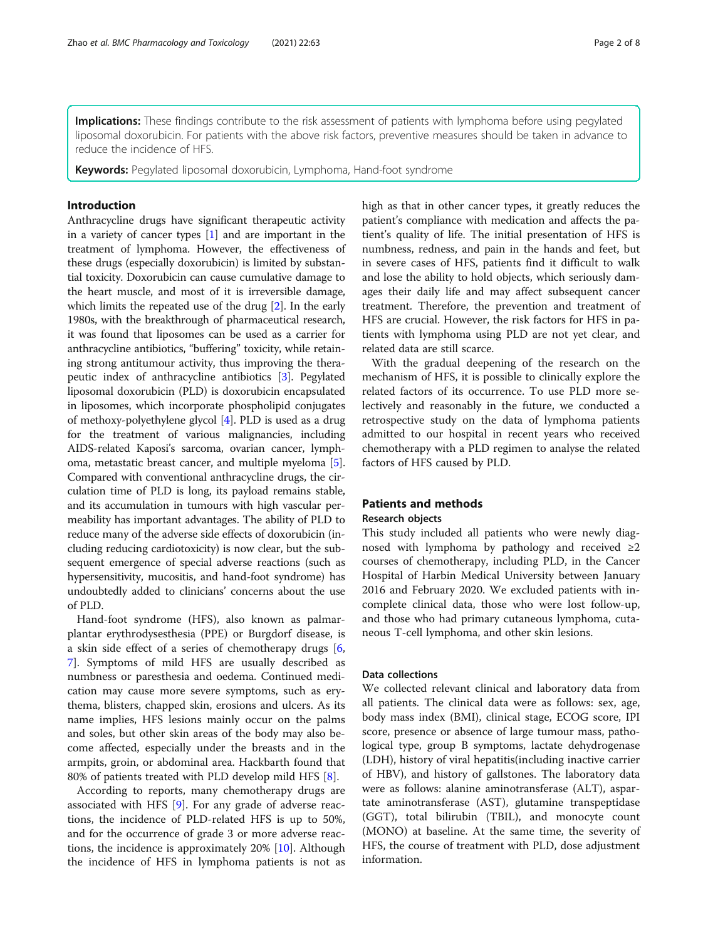**Implications:** These findings contribute to the risk assessment of patients with lymphoma before using pegylated liposomal doxorubicin. For patients with the above risk factors, preventive measures should be taken in advance to reduce the incidence of HFS.

Keywords: Pegylated liposomal doxorubicin, Lymphoma, Hand-foot syndrome

### Introduction

Anthracycline drugs have significant therapeutic activity in a variety of cancer types [[1\]](#page-6-0) and are important in the treatment of lymphoma. However, the effectiveness of these drugs (especially doxorubicin) is limited by substantial toxicity. Doxorubicin can cause cumulative damage to the heart muscle, and most of it is irreversible damage, which limits the repeated use of the drug [[2\]](#page-6-0). In the early 1980s, with the breakthrough of pharmaceutical research, it was found that liposomes can be used as a carrier for anthracycline antibiotics, "buffering" toxicity, while retaining strong antitumour activity, thus improving the therapeutic index of anthracycline antibiotics [[3\]](#page-6-0). Pegylated liposomal doxorubicin (PLD) is doxorubicin encapsulated in liposomes, which incorporate phospholipid conjugates of methoxy-polyethylene glycol [[4](#page-6-0)]. PLD is used as a drug for the treatment of various malignancies, including AIDS-related Kaposi's sarcoma, ovarian cancer, lymphoma, metastatic breast cancer, and multiple myeloma [[5](#page-6-0)]. Compared with conventional anthracycline drugs, the circulation time of PLD is long, its payload remains stable, and its accumulation in tumours with high vascular permeability has important advantages. The ability of PLD to reduce many of the adverse side effects of doxorubicin (including reducing cardiotoxicity) is now clear, but the subsequent emergence of special adverse reactions (such as hypersensitivity, mucositis, and hand-foot syndrome) has undoubtedly added to clinicians' concerns about the use of PLD.

Hand-foot syndrome (HFS), also known as palmarplantar erythrodysesthesia (PPE) or Burgdorf disease, is a skin side effect of a series of chemotherapy drugs [\[6](#page-6-0), [7\]](#page-6-0). Symptoms of mild HFS are usually described as numbness or paresthesia and oedema. Continued medication may cause more severe symptoms, such as erythema, blisters, chapped skin, erosions and ulcers. As its name implies, HFS lesions mainly occur on the palms and soles, but other skin areas of the body may also become affected, especially under the breasts and in the armpits, groin, or abdominal area. Hackbarth found that 80% of patients treated with PLD develop mild HFS [\[8](#page-6-0)].

According to reports, many chemotherapy drugs are associated with HFS [\[9](#page-6-0)]. For any grade of adverse reactions, the incidence of PLD-related HFS is up to 50%, and for the occurrence of grade 3 or more adverse reactions, the incidence is approximately 20% [[10\]](#page-6-0). Although the incidence of HFS in lymphoma patients is not as high as that in other cancer types, it greatly reduces the patient's compliance with medication and affects the patient's quality of life. The initial presentation of HFS is numbness, redness, and pain in the hands and feet, but in severe cases of HFS, patients find it difficult to walk and lose the ability to hold objects, which seriously damages their daily life and may affect subsequent cancer treatment. Therefore, the prevention and treatment of HFS are crucial. However, the risk factors for HFS in patients with lymphoma using PLD are not yet clear, and related data are still scarce.

With the gradual deepening of the research on the mechanism of HFS, it is possible to clinically explore the related factors of its occurrence. To use PLD more selectively and reasonably in the future, we conducted a retrospective study on the data of lymphoma patients admitted to our hospital in recent years who received chemotherapy with a PLD regimen to analyse the related factors of HFS caused by PLD.

### Patients and methods

### Research objects

This study included all patients who were newly diagnosed with lymphoma by pathology and received  $\geq 2$ courses of chemotherapy, including PLD, in the Cancer Hospital of Harbin Medical University between January 2016 and February 2020. We excluded patients with incomplete clinical data, those who were lost follow-up, and those who had primary cutaneous lymphoma, cutaneous T-cell lymphoma, and other skin lesions.

### Data collections

We collected relevant clinical and laboratory data from all patients. The clinical data were as follows: sex, age, body mass index (BMI), clinical stage, ECOG score, IPI score, presence or absence of large tumour mass, pathological type, group B symptoms, lactate dehydrogenase (LDH), history of viral hepatitis(including inactive carrier of HBV), and history of gallstones. The laboratory data were as follows: alanine aminotransferase (ALT), aspartate aminotransferase (AST), glutamine transpeptidase (GGT), total bilirubin (TBIL), and monocyte count (MONO) at baseline. At the same time, the severity of HFS, the course of treatment with PLD, dose adjustment information.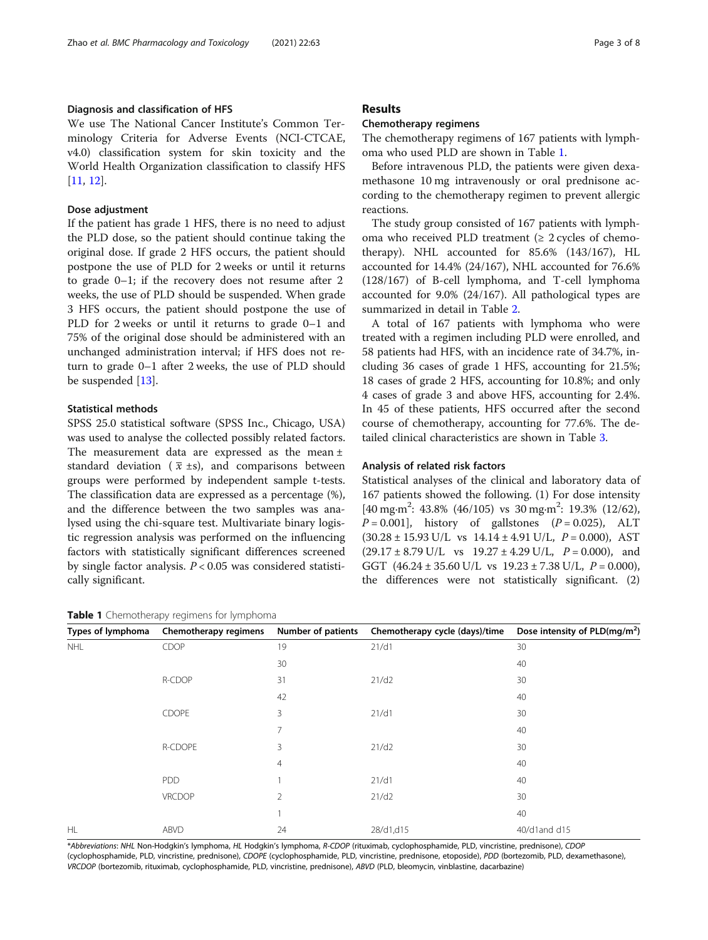### Diagnosis and classification of HFS

We use The National Cancer Institute's Common Terminology Criteria for Adverse Events (NCI-CTCAE, v4.0) classification system for skin toxicity and the World Health Organization classification to classify HFS [[11,](#page-7-0) [12\]](#page-7-0).

### Dose adjustment

If the patient has grade 1 HFS, there is no need to adjust the PLD dose, so the patient should continue taking the original dose. If grade 2 HFS occurs, the patient should postpone the use of PLD for 2 weeks or until it returns to grade 0–1; if the recovery does not resume after 2 weeks, the use of PLD should be suspended. When grade 3 HFS occurs, the patient should postpone the use of PLD for 2 weeks or until it returns to grade 0–1 and 75% of the original dose should be administered with an unchanged administration interval; if HFS does not return to grade 0–1 after 2 weeks, the use of PLD should be suspended [[13\]](#page-7-0).

### Statistical methods

SPSS 25.0 statistical software (SPSS Inc., Chicago, USA) was used to analyse the collected possibly related factors. The measurement data are expressed as the mean ± standard deviation ( $\bar{x}$  ±s), and comparisons between groups were performed by independent sample t-tests. The classification data are expressed as a percentage (%), and the difference between the two samples was analysed using the chi-square test. Multivariate binary logistic regression analysis was performed on the influencing factors with statistically significant differences screened by single factor analysis.  $P < 0.05$  was considered statistically significant.

# Table 1 Chemotherapy regimens for lymphoma

### Chemotherapy regimens

The chemotherapy regimens of 167 patients with lymphoma who used PLD are shown in Table 1.

Before intravenous PLD, the patients were given dexamethasone 10 mg intravenously or oral prednisone according to the chemotherapy regimen to prevent allergic reactions.

The study group consisted of 167 patients with lymphoma who received PLD treatment ( $\geq$  2 cycles of chemotherapy). NHL accounted for 85.6% (143/167), HL accounted for 14.4% (24/167), NHL accounted for 76.6% (128/167) of B-cell lymphoma, and T-cell lymphoma accounted for 9.0% (24/167). All pathological types are summarized in detail in Table [2.](#page-3-0)

A total of 167 patients with lymphoma who were treated with a regimen including PLD were enrolled, and 58 patients had HFS, with an incidence rate of 34.7%, including 36 cases of grade 1 HFS, accounting for 21.5%; 18 cases of grade 2 HFS, accounting for 10.8%; and only 4 cases of grade 3 and above HFS, accounting for 2.4%. In 45 of these patients, HFS occurred after the second course of chemotherapy, accounting for 77.6%. The detailed clinical characteristics are shown in Table [3](#page-3-0).

### Analysis of related risk factors

Statistical analyses of the clinical and laboratory data of 167 patients showed the following. (1) For dose intensity [40 mg·m<sup>2</sup>: 43.8% (46/105) vs 30 mg·m<sup>2</sup>: 19.3% (12/62),  $P = 0.001$ , history of gallstones  $(P = 0.025)$ , ALT  $(30.28 \pm 15.93 \text{ U/L} \text{ vs } 14.14 \pm 4.91 \text{ U/L}, P = 0.000), \text{AST}$  $(29.17 \pm 8.79 \text{ U/L} \text{ vs } 19.27 \pm 4.29 \text{ U/L}, P = 0.000)$ , and GGT  $(46.24 \pm 35.60 \text{ U/L} \text{ vs } 19.23 \pm 7.38 \text{ U/L}, P = 0.000),$ the differences were not statistically significant. (2)

| Types of lymphoma | $\overline{\phantom{a}}$<br>Chemotherapy regimens | Number of patients | Chemotherapy cycle (days)/time | Dose intensity of PLD(mg/m <sup>2</sup> ) |
|-------------------|---------------------------------------------------|--------------------|--------------------------------|-------------------------------------------|
| <b>NHL</b>        | CDOP                                              | 19                 | 21/d1                          | 30                                        |
|                   |                                                   | 30                 |                                | 40                                        |
|                   | R-CDOP                                            | 31                 | 21/d2                          | 30                                        |
|                   |                                                   | 42                 |                                | 40                                        |
|                   | CDOPE                                             | 3                  | 21/d1                          | 30                                        |
|                   |                                                   | 7                  |                                | 40                                        |
|                   | R-CDOPE                                           | 3                  | 21/d2                          | 30                                        |
|                   |                                                   | $\overline{4}$     |                                | 40                                        |
|                   | <b>PDD</b>                                        |                    | 21/d1                          | 40                                        |
|                   | VRCDOP                                            | 2                  | 21/d2                          | 30                                        |
|                   |                                                   |                    |                                | 40                                        |
| HL                | ABVD                                              | 24                 | 28/d1,d15                      | 40/d1and d15                              |

\*Abbreviations: NHL Non-Hodgkin's lymphoma, HL Hodgkin's lymphoma, R-CDOP (rituximab, cyclophosphamide, PLD, vincristine, prednisone), CDOP (cyclophosphamide, PLD, vincristine, prednisone), CDOPE (cyclophosphamide, PLD, vincristine, prednisone, etoposide), PDD (bortezomib, PLD, dexamethasone), VRCDOP (bortezomib, rituximab, cyclophosphamide, PLD, vincristine, prednisone), ABVD (PLD, bleomycin, vinblastine, dacarbazine)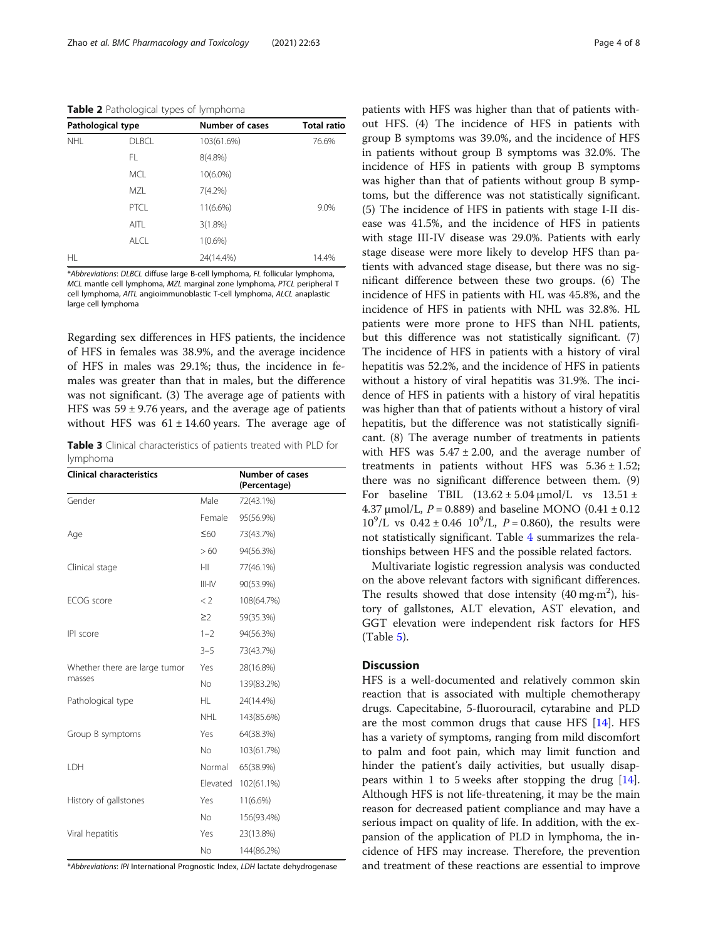<span id="page-3-0"></span>Table 2 Pathological types of lymphoma

| Pathological type |              | <b>Number of cases</b> | <b>Total ratio</b> |  |
|-------------------|--------------|------------------------|--------------------|--|
| <b>NHI</b>        | <b>DLBCL</b> | 103(61.6%)             | 76.6%              |  |
|                   | FL.          | $8(4.8\%)$             |                    |  |
|                   | <b>MCL</b>   | $10(6.0\%)$            |                    |  |
|                   | MZL          | $7(4.2\%)$             |                    |  |
|                   | PTCL         | $11(6.6\%)$            | 9.0%               |  |
|                   | AITL         | $3(1.8\%)$             |                    |  |
|                   | AICI         | 1(0.6%)                |                    |  |
| HL.               |              | 24(14.4%)              | 14.4%              |  |

\*Abbreviations: DLBCL diffuse large B-cell lymphoma, FL follicular lymphoma, MCL mantle cell lymphoma, MZL marginal zone lymphoma, PTCL peripheral T cell lymphoma, AITL angioimmunoblastic T-cell lymphoma, ALCL anaplastic large cell lymphoma

Regarding sex differences in HFS patients, the incidence of HFS in females was 38.9%, and the average incidence of HFS in males was 29.1%; thus, the incidence in females was greater than that in males, but the difference was not significant. (3) The average age of patients with HFS was  $59 \pm 9.76$  years, and the average age of patients without HFS was  $61 \pm 14.60$  years. The average age of

Table 3 Clinical characteristics of patients treated with PLD for lymphoma

| <b>Clinical characteristics</b> |             | <b>Number of cases</b><br>(Percentage) |
|---------------------------------|-------------|----------------------------------------|
| Gender                          | Male        | 72(43.1%)                              |
|                                 | Female      | 95(56.9%)                              |
| Age                             | $\leq 60$   | 73(43.7%)                              |
|                                 | >60         | 94(56.3%)                              |
| Clinical stage                  | $\  - \ $   | 77(46.1%)                              |
|                                 | $III-N$     | 90(53.9%)                              |
| ECOG score                      | $\langle$ 2 | 108(64.7%)                             |
|                                 | $\geq$      | 59(35.3%)                              |
| IPI score                       | $1 - 2$     | 94(56.3%)                              |
|                                 | $3 - 5$     | 73(43.7%)                              |
| Whether there are large tumor   | Yes         | 28(16.8%)                              |
| masses                          | No.         | 139(83.2%)                             |
| Pathological type               | HL.         | 24(14.4%)                              |
|                                 | NHL         | 143(85.6%)                             |
| Group B symptoms                | Yes         | 64(38.3%)                              |
|                                 | <b>No</b>   | 103(61.7%)                             |
| LDH                             | Normal      | 65(38.9%)                              |
|                                 | Elevated    | 102(61.1%)                             |
| History of gallstones           | Yes         | 11(6.6%)                               |
|                                 | No.         | 156(93.4%)                             |
| Viral hepatitis                 | Yes         | 23(13.8%)                              |
|                                 | No          | 144(86.2%)                             |

\*Abbreviations: IPI International Prognostic Index, LDH lactate dehydrogenase

patients with HFS was higher than that of patients without HFS. (4) The incidence of HFS in patients with group B symptoms was 39.0%, and the incidence of HFS in patients without group B symptoms was 32.0%. The incidence of HFS in patients with group B symptoms was higher than that of patients without group B symptoms, but the difference was not statistically significant. (5) The incidence of HFS in patients with stage I-II disease was 41.5%, and the incidence of HFS in patients with stage III-IV disease was 29.0%. Patients with early stage disease were more likely to develop HFS than patients with advanced stage disease, but there was no significant difference between these two groups. (6) The incidence of HFS in patients with HL was 45.8%, and the incidence of HFS in patients with NHL was 32.8%. HL patients were more prone to HFS than NHL patients, but this difference was not statistically significant. (7) The incidence of HFS in patients with a history of viral hepatitis was 52.2%, and the incidence of HFS in patients without a history of viral hepatitis was 31.9%. The incidence of HFS in patients with a history of viral hepatitis was higher than that of patients without a history of viral hepatitis, but the difference was not statistically significant. (8) The average number of treatments in patients with HFS was  $5.47 \pm 2.00$ , and the average number of treatments in patients without HFS was  $5.36 \pm 1.52$ ; there was no significant difference between them. (9) For baseline TBIL  $(13.62 \pm 5.04 \,\mathrm{\mu mol/L}$  vs  $13.51 \pm$ 4.37 μmol/L,  $P = 0.889$ ) and baseline MONO (0.41 ± 0.12  $10^9$ /L vs  $0.42 \pm 0.46$   $10^9$ /L,  $P = 0.860$ ), the results were not statistically significant. Table [4](#page-4-0) summarizes the relationships between HFS and the possible related factors.

Multivariate logistic regression analysis was conducted on the above relevant factors with significant differences. The results showed that dose intensity  $(40 \text{ mg} \cdot \text{m}^2)$ , history of gallstones, ALT elevation, AST elevation, and GGT elevation were independent risk factors for HFS (Table [5\)](#page-4-0).

## **Discussion**

HFS is a well-documented and relatively common skin reaction that is associated with multiple chemotherapy drugs. Capecitabine, 5-fluorouracil, cytarabine and PLD are the most common drugs that cause HFS [[14](#page-7-0)]. HFS has a variety of symptoms, ranging from mild discomfort to palm and foot pain, which may limit function and hinder the patient's daily activities, but usually disappears within 1 to 5 weeks after stopping the drug [\[14](#page-7-0)]. Although HFS is not life-threatening, it may be the main reason for decreased patient compliance and may have a serious impact on quality of life. In addition, with the expansion of the application of PLD in lymphoma, the incidence of HFS may increase. Therefore, the prevention and treatment of these reactions are essential to improve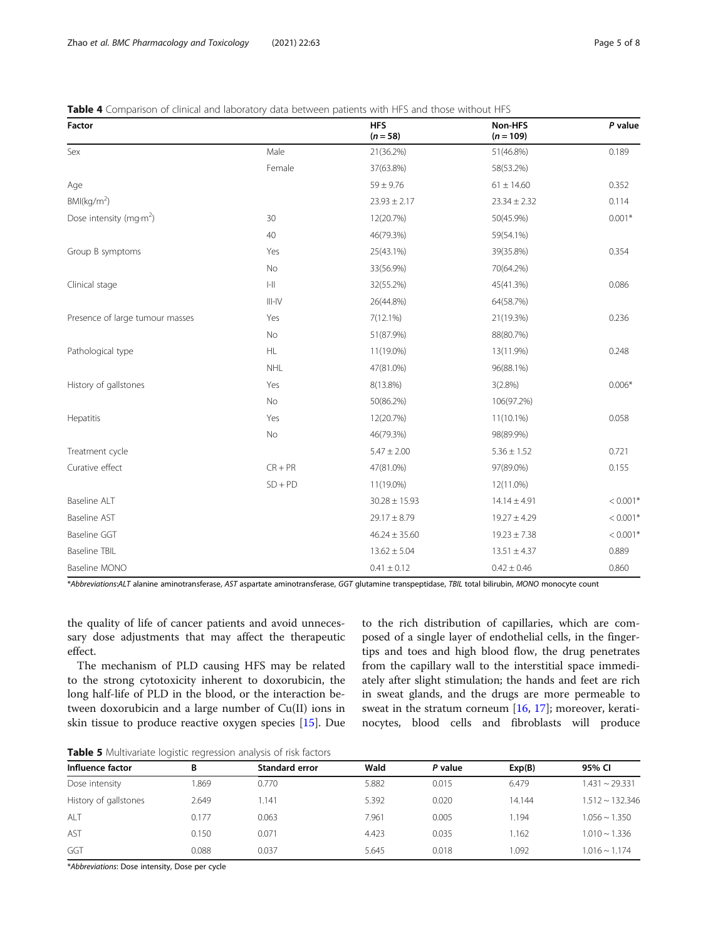### <span id="page-4-0"></span>Table 4 Comparison of clinical and laboratory data between patients with HFS and those without HFS

| Factor                                      |                                       | <b>HFS</b><br>$(n = 58)$ | Non-HFS<br>$(n = 109)$ | P value    |
|---------------------------------------------|---------------------------------------|--------------------------|------------------------|------------|
| Sex                                         | Male                                  | 21(36.2%)                | 51(46.8%)              | 0.189      |
|                                             | Female                                | 37(63.8%)                | 58(53.2%)              |            |
| Age                                         |                                       | $59 \pm 9.76$            | $61 \pm 14.60$         | 0.352      |
| BM(kq/m <sup>2</sup> )                      |                                       | $23.93 \pm 2.17$         | $23.34 \pm 2.32$       | 0.114      |
| Dose intensity (mg $\cdot$ m <sup>2</sup> ) | 30                                    | 12(20.7%)                | 50(45.9%)              | $0.001*$   |
|                                             | 40                                    | 46(79.3%)                | 59(54.1%)              |            |
| Group B symptoms                            | Yes                                   | 25(43.1%)                | 39(35.8%)              | 0.354      |
|                                             | No                                    | 33(56.9%)                | 70(64.2%)              |            |
| Clinical stage                              | $\left\vert -\right\vert \right\vert$ | 32(55.2%)                | 45(41.3%)              | 0.086      |
|                                             | $III-N$                               | 26(44.8%)                | 64(58.7%)              |            |
| Presence of large tumour masses             | Yes                                   | $7(12.1\%)$              | 21(19.3%)              | 0.236      |
|                                             | No                                    | 51(87.9%)                | 88(80.7%)              |            |
| Pathological type                           | HL.                                   | 11(19.0%)                | 13(11.9%)              | 0.248      |
|                                             | <b>NHL</b>                            | 47(81.0%)                | 96(88.1%)              |            |
| History of gallstones                       | Yes                                   | 8(13.8%)                 | 3(2.8%)                | $0.006*$   |
|                                             | No                                    | 50(86.2%)                | 106(97.2%)             |            |
| Hepatitis                                   | Yes                                   | 12(20.7%)                | 11(10.1%)              | 0.058      |
|                                             | No                                    | 46(79.3%)                | 98(89.9%)              |            |
| Treatment cycle                             |                                       | $5.47 \pm 2.00$          | $5.36 \pm 1.52$        | 0.721      |
| Curative effect                             | $CR + PR$                             | 47(81.0%)                | 97(89.0%)              | 0.155      |
|                                             | $SD + PD$                             | 11(19.0%)                | 12(11.0%)              |            |
| Baseline ALT                                |                                       | $30.28 \pm 15.93$        | $14.14 \pm 4.91$       | $< 0.001*$ |
| <b>Baseline AST</b>                         |                                       | $29.17 \pm 8.79$         | $19.27 \pm 4.29$       | $< 0.001*$ |
| <b>Baseline GGT</b>                         |                                       | $46.24 \pm 35.60$        | $19.23 \pm 7.38$       | $< 0.001*$ |
| <b>Baseline TBIL</b>                        |                                       | $13.62 \pm 5.04$         | $13.51 \pm 4.37$       | 0.889      |
| Baseline MONO                               |                                       | $0.41 \pm 0.12$          | $0.42 \pm 0.46$        | 0.860      |

\*Abbreviations:ALT alanine aminotransferase, AST aspartate aminotransferase, GGT glutamine transpeptidase, TBIL total bilirubin, MONO monocyte count

the quality of life of cancer patients and avoid unnecessary dose adjustments that may affect the therapeutic effect.

The mechanism of PLD causing HFS may be related to the strong cytotoxicity inherent to doxorubicin, the long half-life of PLD in the blood, or the interaction between doxorubicin and a large number of Cu(II) ions in skin tissue to produce reactive oxygen species [[15\]](#page-7-0). Due

to the rich distribution of capillaries, which are composed of a single layer of endothelial cells, in the fingertips and toes and high blood flow, the drug penetrates from the capillary wall to the interstitial space immediately after slight stimulation; the hands and feet are rich in sweat glands, and the drugs are more permeable to sweat in the stratum corneum [[16](#page-7-0), [17](#page-7-0)]; moreover, keratinocytes, blood cells and fibroblasts will produce

**Table 5** Multivariate logistic regression analysis of risk factors

| 95% CI                  |
|-------------------------|
|                         |
| $1.431 \sim 29.331$     |
| $1.512 \approx 132.346$ |
| $1.056 \sim 1.350$      |
| $1.010 \sim 1.336$      |
| $1.016 \sim 1.174$      |
|                         |

\*Abbreviations: Dose intensity, Dose per cycle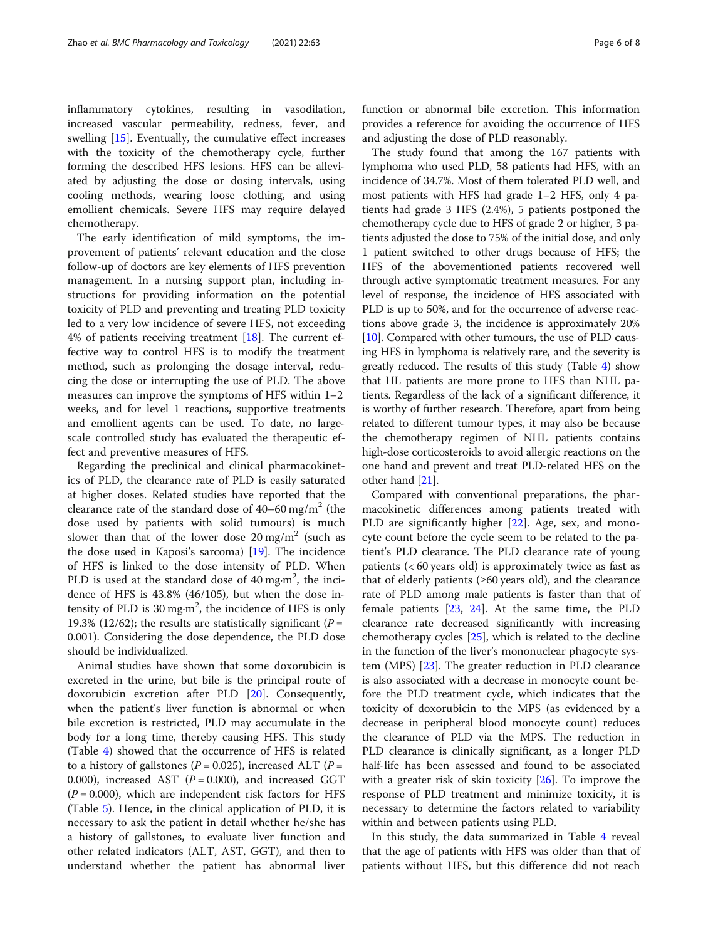inflammatory cytokines, resulting in vasodilation, increased vascular permeability, redness, fever, and swelling [\[15](#page-7-0)]. Eventually, the cumulative effect increases with the toxicity of the chemotherapy cycle, further forming the described HFS lesions. HFS can be alleviated by adjusting the dose or dosing intervals, using cooling methods, wearing loose clothing, and using emollient chemicals. Severe HFS may require delayed chemotherapy.

The early identification of mild symptoms, the improvement of patients' relevant education and the close follow-up of doctors are key elements of HFS prevention management. In a nursing support plan, including instructions for providing information on the potential toxicity of PLD and preventing and treating PLD toxicity led to a very low incidence of severe HFS, not exceeding 4% of patients receiving treatment [\[18\]](#page-7-0). The current effective way to control HFS is to modify the treatment method, such as prolonging the dosage interval, reducing the dose or interrupting the use of PLD. The above measures can improve the symptoms of HFS within 1–2 weeks, and for level 1 reactions, supportive treatments and emollient agents can be used. To date, no largescale controlled study has evaluated the therapeutic effect and preventive measures of HFS.

Regarding the preclinical and clinical pharmacokinetics of PLD, the clearance rate of PLD is easily saturated at higher doses. Related studies have reported that the clearance rate of the standard dose of  $40-60$  mg/m<sup>2</sup> (the dose used by patients with solid tumours) is much slower than that of the lower dose  $20 \text{ mg/m}^2$  (such as the dose used in Kaposi's sarcoma) [\[19](#page-7-0)]. The incidence of HFS is linked to the dose intensity of PLD. When PLD is used at the standard dose of 40 mg·m<sup>2</sup>, the incidence of HFS is 43.8% (46/105), but when the dose intensity of PLD is 30 mg·m<sup>2</sup>, the incidence of HFS is only 19.3% (12/62); the results are statistically significant ( $P =$ 0.001). Considering the dose dependence, the PLD dose should be individualized.

Animal studies have shown that some doxorubicin is excreted in the urine, but bile is the principal route of doxorubicin excretion after PLD [[20\]](#page-7-0). Consequently, when the patient's liver function is abnormal or when bile excretion is restricted, PLD may accumulate in the body for a long time, thereby causing HFS. This study (Table [4\)](#page-4-0) showed that the occurrence of HFS is related to a history of gallstones ( $P = 0.025$ ), increased ALT ( $P =$ 0.000), increased AST  $(P = 0.000)$ , and increased GGT  $(P = 0.000)$ , which are independent risk factors for HFS (Table [5](#page-4-0)). Hence, in the clinical application of PLD, it is necessary to ask the patient in detail whether he/she has a history of gallstones, to evaluate liver function and other related indicators (ALT, AST, GGT), and then to understand whether the patient has abnormal liver

function or abnormal bile excretion. This information provides a reference for avoiding the occurrence of HFS and adjusting the dose of PLD reasonably.

The study found that among the 167 patients with lymphoma who used PLD, 58 patients had HFS, with an incidence of 34.7%. Most of them tolerated PLD well, and most patients with HFS had grade 1–2 HFS, only 4 patients had grade 3 HFS (2.4%), 5 patients postponed the chemotherapy cycle due to HFS of grade 2 or higher, 3 patients adjusted the dose to 75% of the initial dose, and only 1 patient switched to other drugs because of HFS; the HFS of the abovementioned patients recovered well through active symptomatic treatment measures. For any level of response, the incidence of HFS associated with PLD is up to 50%, and for the occurrence of adverse reactions above grade 3, the incidence is approximately 20% [[10](#page-6-0)]. Compared with other tumours, the use of PLD causing HFS in lymphoma is relatively rare, and the severity is greatly reduced. The results of this study (Table [4](#page-4-0)) show that HL patients are more prone to HFS than NHL patients. Regardless of the lack of a significant difference, it is worthy of further research. Therefore, apart from being related to different tumour types, it may also be because the chemotherapy regimen of NHL patients contains high-dose corticosteroids to avoid allergic reactions on the one hand and prevent and treat PLD-related HFS on the other hand [\[21\]](#page-7-0).

Compared with conventional preparations, the pharmacokinetic differences among patients treated with PLD are significantly higher [\[22](#page-7-0)]. Age, sex, and monocyte count before the cycle seem to be related to the patient's PLD clearance. The PLD clearance rate of young patients (< 60 years old) is approximately twice as fast as that of elderly patients (≥60 years old), and the clearance rate of PLD among male patients is faster than that of female patients [[23,](#page-7-0) [24](#page-7-0)]. At the same time, the PLD clearance rate decreased significantly with increasing chemotherapy cycles [\[25\]](#page-7-0), which is related to the decline in the function of the liver's mononuclear phagocyte system (MPS) [\[23\]](#page-7-0). The greater reduction in PLD clearance is also associated with a decrease in monocyte count before the PLD treatment cycle, which indicates that the toxicity of doxorubicin to the MPS (as evidenced by a decrease in peripheral blood monocyte count) reduces the clearance of PLD via the MPS. The reduction in PLD clearance is clinically significant, as a longer PLD half-life has been assessed and found to be associated with a greater risk of skin toxicity [\[26\]](#page-7-0). To improve the response of PLD treatment and minimize toxicity, it is necessary to determine the factors related to variability within and between patients using PLD.

In this study, the data summarized in Table [4](#page-4-0) reveal that the age of patients with HFS was older than that of patients without HFS, but this difference did not reach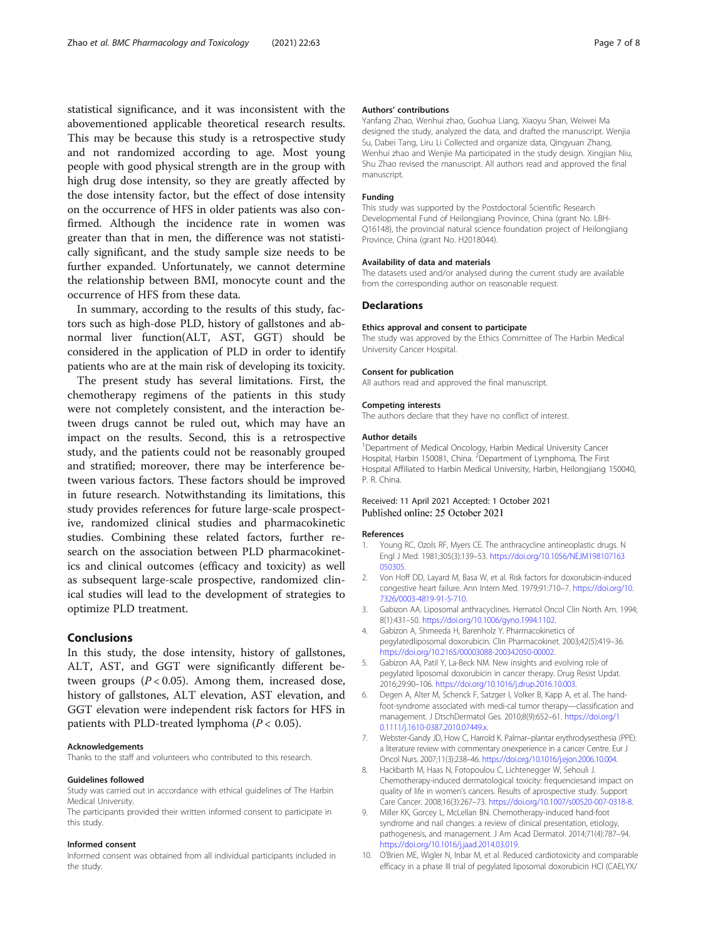<span id="page-6-0"></span>statistical significance, and it was inconsistent with the abovementioned applicable theoretical research results. This may be because this study is a retrospective study and not randomized according to age. Most young people with good physical strength are in the group with high drug dose intensity, so they are greatly affected by the dose intensity factor, but the effect of dose intensity on the occurrence of HFS in older patients was also confirmed. Although the incidence rate in women was greater than that in men, the difference was not statistically significant, and the study sample size needs to be further expanded. Unfortunately, we cannot determine the relationship between BMI, monocyte count and the occurrence of HFS from these data.

In summary, according to the results of this study, factors such as high-dose PLD, history of gallstones and abnormal liver function(ALT, AST, GGT) should be considered in the application of PLD in order to identify patients who are at the main risk of developing its toxicity.

The present study has several limitations. First, the chemotherapy regimens of the patients in this study were not completely consistent, and the interaction between drugs cannot be ruled out, which may have an impact on the results. Second, this is a retrospective study, and the patients could not be reasonably grouped and stratified; moreover, there may be interference between various factors. These factors should be improved in future research. Notwithstanding its limitations, this study provides references for future large-scale prospective, randomized clinical studies and pharmacokinetic studies. Combining these related factors, further research on the association between PLD pharmacokinetics and clinical outcomes (efficacy and toxicity) as well as subsequent large-scale prospective, randomized clinical studies will lead to the development of strategies to optimize PLD treatment.

### Conclusions

In this study, the dose intensity, history of gallstones, ALT, AST, and GGT were significantly different between groups  $(P < 0.05)$ . Among them, increased dose, history of gallstones, ALT elevation, AST elevation, and GGT elevation were independent risk factors for HFS in patients with PLD-treated lymphoma ( $P < 0.05$ ).

#### Acknowledgements

Thanks to the staff and volunteers who contributed to this research.

#### Guidelines followed

Study was carried out in accordance with ethical guidelines of The Harbin Medical University.

The participants provided their written informed consent to participate in this study.

#### Informed consent

Informed consent was obtained from all individual participants included in the study.

### Authors' contributions

Yanfang Zhao, Wenhui zhao, Guohua Liang, Xiaoyu Shan, Weiwei Ma designed the study, analyzed the data, and drafted the manuscript. Wenjia Su, Dabei Tang, Liru Li Collected and organize data, Qingyuan Zhang, Wenhui zhao and Wenjie Ma participated in the study design. Xingjian Niu, Shu Zhao revised the manuscript. All authors read and approved the final manuscript.

### Funding

This study was supported by the Postdoctoral Scientific Research Developmental Fund of Heilongjiang Province, China (grant No. LBH-Q16148), the provincial natural science foundation project of Heilongjiang Province, China (grant No. H2018044).

#### Availability of data and materials

The datasets used and/or analysed during the current study are available from the corresponding author on reasonable request.

#### **Declarations**

#### Ethics approval and consent to participate

The study was approved by the Ethics Committee of The Harbin Medical University Cancer Hospital.

#### Consent for publication

All authors read and approved the final manuscript.

#### Competing interests

The authors declare that they have no conflict of interest.

#### Author details

<sup>1</sup>Department of Medical Oncology, Harbin Medical University Cancer Hospital, Harbin 150081, China. <sup>2</sup>Department of Lymphoma, The First Hospital Affiliated to Harbin Medical University, Harbin, Heilongjiang 150040, P. R. China.

### Received: 11 April 2021 Accepted: 1 October 2021 Published online: 25 October 2021

#### References

- 1. Young RC, Ozols RF, Myers CE. The anthracycline antineoplastic drugs. N Engl J Med. 1981;305(3):139–53. [https://doi.org/10.1056/NEJM198107163](https://doi.org/10.1056/NEJM198107163050305) [050305](https://doi.org/10.1056/NEJM198107163050305).
- 2. Von Hoff DD, Layard M, Basa W, et al. Risk factors for doxorubicin-induced congestive heart failure. Ann Intern Med. 1979;91:710–7. [https://doi.org/10.](https://doi.org/10.7326/0003-4819-91-5-710) [7326/0003-4819-91-5-710.](https://doi.org/10.7326/0003-4819-91-5-710)
- 3. Gabizon AA. Liposomal anthracyclines. Hematol Oncol Clin North Am. 1994; 8(1):431–50. [https://doi.org/10.1006/gyno.1994.1102.](https://doi.org/10.1006/gyno.1994.1102)
- 4. Gabizon A, Shmeeda H, Barenholz Y. Pharmacokinetics of pegylatedliposomal doxorubicin. Clin Pharmacokinet. 2003;42(5):419–36. <https://doi.org/10.2165/00003088-200342050-00002>.
- 5. Gabizon AA, Patil Y, La-Beck NM. New insights and evolving role of pegylated liposomal doxorubicin in cancer therapy. Drug Resist Updat. 2016;29:90–106. <https://doi.org/10.1016/j.drup.2016.10.003>.
- Degen A, Alter M, Schenck F, Satzger I, Volker B, Kapp A, et al. The handfoot-syndrome associated with medi-cal tumor therapy—classification and management. J DtschDermatol Ges. 2010;8(9):652–61. [https://doi.org/1](https://doi.org/10.1111/j.1610-0387.2010.07449.x) [0.1111/j.1610-0387.2010.07449.x.](https://doi.org/10.1111/j.1610-0387.2010.07449.x)
- 7. Webster-Gandy JD, How C, Harrold K. Palmar–plantar erythrodysesthesia (PPE): a literature review with commentary onexperience in a cancer Centre. Eur J Oncol Nurs. 2007;11(3):238–46. [https://doi.org/10.1016/j.ejon.2006.10.004.](https://doi.org/10.1016/j.ejon.2006.10.004)
- 8. Hackbarth M, Haas N, Fotopoulou C, Lichtenegger W, Sehouli J. Chemotherapy-induced dermatological toxicity: frequenciesand impact on quality of life in women's cancers. Results of aprospective study. Support Care Cancer. 2008;16(3):267–73. [https://doi.org/10.1007/s00520-007-0318-8.](https://doi.org/10.1007/s00520-007-0318-8)
- 9. Miller KK, Gorcey L, McLellan BN. Chemotherapy-induced hand-foot syndrome and nail changes: a review of clinical presentation, etiology, pathogenesis, and management. J Am Acad Dermatol. 2014;71(4):787–94. [https://doi.org/10.1016/j.jaad.2014.03.019.](https://doi.org/10.1016/j.jaad.2014.03.019)
- 10. O'Brien ME, Wigler N, Inbar M, et al. Reduced cardiotoxicity and comparable efficacy in a phase III trial of pegylated liposomal doxorubicin HCl (CAELYX/